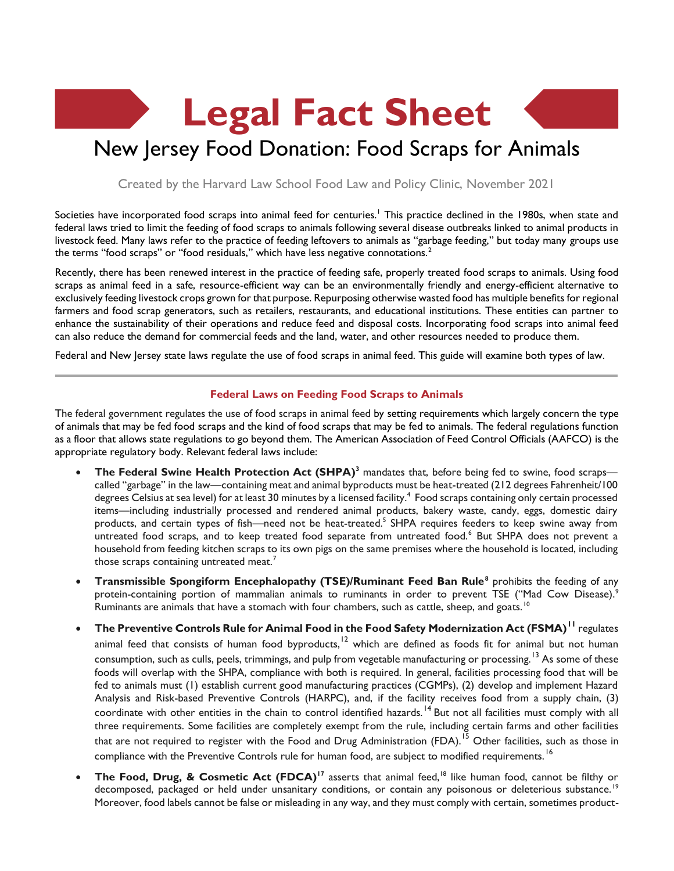# **Legal Fact Sheet** New Jersey Food Donation: Food Scraps for Animals

Created by the Harvard Law School Food Law and Policy Clinic, November 2021

Societies have incorporated food scraps into animal feed for centuries.<sup>1</sup> This practice declined in the 1980s, when state and federal laws tried to limit the feeding of food scraps to animals following several disease outbreaks linked to animal products in livestock feed. Many laws refer to the practice of feeding leftovers to animals as "garbage feeding," but today many groups use the terms "food scraps" or "food residuals," which have less negative connotations.<sup>2</sup>

Recently, there has been renewed interest in the practice of feeding safe, properly treated food scraps to animals. Using food scraps as animal feed in a safe, resource-efficient way can be an environmentally friendly and energy-efficient alternative to exclusively feeding livestock crops grown for that purpose. Repurposing otherwise wasted food has multiple benefits for regional farmers and food scrap generators, such as retailers, restaurants, and educational institutions. These entities can partner to enhance the sustainability of their operations and reduce feed and disposal costs. Incorporating food scraps into animal feed can also reduce the demand for commercial feeds and the land, water, and other resources needed to produce them.

Federal and New Jersey state laws regulate the use of food scraps in animal feed. This guide will examine both types of law.

## **Federal Laws on Feeding Food Scraps to Animals**

The federal government regulates the use of food scraps in animal feed by setting requirements which largely concern the type of animals that may be fed food scraps and the kind of food scraps that may be fed to animals. The federal regulations function as a floor that allows state regulations to go beyond them. The American Association of Feed Control Officials (AAFCO) is the appropriate regulatory body. Relevant federal laws include:

- **The Federal Swine Health Protection Act (SHPA)<sup>3</sup>** mandates that, before being fed to swine, food scraps called "garbage" in the law—containing meat and animal byproducts must be heat-treated (212 degrees Fahrenheit/100 degrees Celsius at sea level) for at least 30 minutes by a licensed facility.<sup>4</sup> Food scraps containing only certain processed items—including industrially processed and rendered animal products, bakery waste, candy, eggs, domestic dairy products, and certain types of fish—need not be heat-treated.<sup>5</sup> SHPA requires feeders to keep swine away from untreated food scraps, and to keep treated food separate from untreated food.<sup>6</sup> But SHPA does not prevent a household from feeding kitchen scraps to its own pigs on the same premises where the household is located, including those scraps containing untreated meat.<sup>7</sup>
- **Transmissible Spongiform Encephalopathy (TSE)/Ruminant Feed Ban Rule<sup>8</sup> prohibits the feeding of any** protein-containing portion of mammalian animals to ruminants in order to prevent TSE ("Mad Cow Disease).<sup>9</sup> Ruminants are animals that have a stomach with four chambers, such as cattle, sheep, and goats.<sup>10</sup>
- **The Preventive Controls Rule for Animal Food in the Food Safety Modernization Act (FSMA)<sup>11</sup>** regulates animal feed that consists of human food byproducts,<sup>12</sup> which are defined as foods fit for animal but not human consumption, such as culls, peels, trimmings, and pulp from vegetable manufacturing or processing.<sup>13</sup> As some of these foods will overlap with the SHPA, compliance with both is required. In general, facilities processing food that will be fed to animals must (1) establish current good manufacturing practices (CGMPs), (2) develop and implement Hazard Analysis and Risk-based Preventive Controls (HARPC), and, if the facility receives food from a supply chain, (3) coordinate with other entities in the chain to control identified hazards.<sup>14</sup> But not all facilities must comply with all three requirements. Some facilities are completely exempt from the rule, including certain farms and other facilities that are not required to register with the Food and Drug Administration (FDA).<sup>15</sup> Other facilities, such as those in compliance with the Preventive Controls rule for human food, are subject to modified requirements.<sup>16</sup>
- **The Food, Drug, & Cosmetic Act (FDCA)<sup>17</sup>** asserts that animal feed,<sup>18</sup> like human food, cannot be filthy or decomposed, packaged or held under unsanitary conditions, or contain any poisonous or deleterious substance.<sup>19</sup> Moreover, food labels cannot be false or misleading in any way, and they must comply with certain, sometimes product-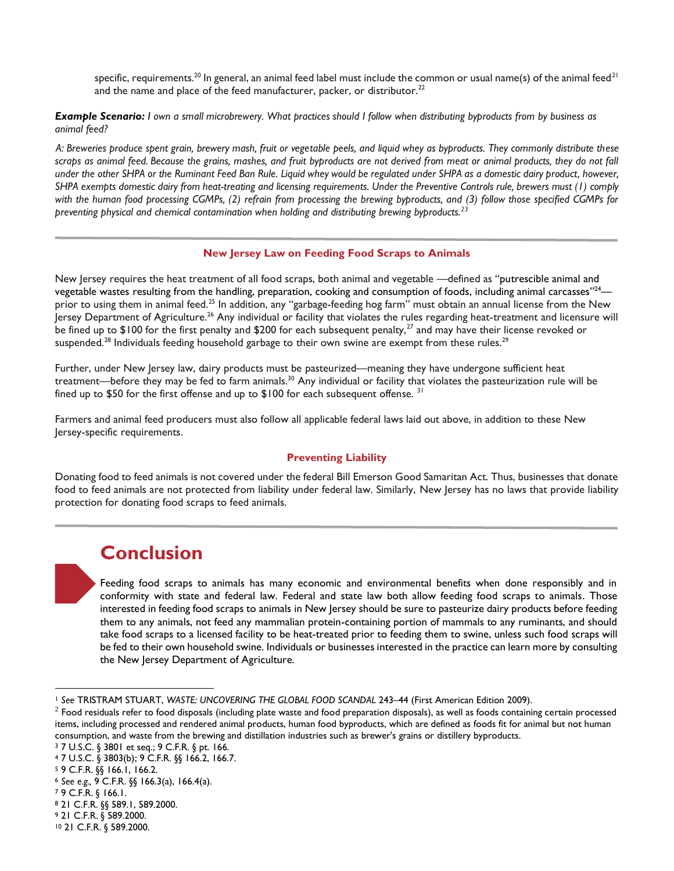specific, requirements.<sup>20</sup> In general, an animal feed label must include the common or usual name(s) of the animal feed<sup>21</sup> and the name and place of the feed manufacturer, packer, or distributor.<sup>22</sup>

*Example Scenario: I own a small microbrewery. What practices should I follow when distributing byproducts from by business as animal feed?*

*A: Breweries produce spent grain, brewery mash, fruit or vegetable peels, and liquid whey as byproducts. They commonly distribute these scraps as animal feed. Because the grains, mashes, and fruit byproducts are not derived from meat or animal products, they do not fall under the other SHPA or the Ruminant Feed Ban Rule. Liquid whey would be regulated under SHPA as a domestic dairy product, however, SHPA exempts domestic dairy from heat-treating and licensing requirements. Under the Preventive Controls rule, brewers must (1) comply with the human food processing CGMPs, (2) refrain from processing the brewing byproducts, and (3) follow those specified CGMPs for preventing physical and chemical contamination when holding and distributing brewing byproducts.<sup>23</sup>*

#### **New Jersey Law on Feeding Food Scraps to Animals**

New Jersey requires the heat treatment of all food scraps, both animal and vegetable —defined as "putrescible animal and vegetable wastes resulting from the handling, preparation, cooking and consumption of foods, including animal carcasses"<sup>24</sup> prior to using them in animal feed.<sup>25</sup> In addition, any "garbage-feeding hog farm" must obtain an annual license from the New Jersey Department of Agriculture.<sup>26</sup> Any individual or facility that violates the rules regarding heat-treatment and licensure will be fined up to \$100 for the first penalty and \$200 for each subsequent penalty,<sup>27</sup> and may have their license revoked or suspended.<sup>28</sup> Individuals feeding household garbage to their own swine are exempt from these rules.<sup>29</sup>

Further, under New Jersey law, dairy products must be pasteurized—meaning they have undergone sufficient heat treatment—before they may be fed to farm animals.<sup>30</sup> Any individual or facility that violates the pasteurization rule will be fined up to \$50 for the first offense and up to \$100 for each subsequent offense. <sup>31</sup>

Farmers and animal feed producers must also follow all applicable federal laws laid out above, in addition to these New Jersey-specific requirements.

## **Preventing Liability**

Donating food to feed animals is not covered under the federal Bill Emerson Good Samaritan Act. Thus, businesses that donate food to feed animals are not protected from liability under federal law. Similarly, New Jersey has no laws that provide liability protection for donating food scraps to feed animals.

# **Conclusion**

Feeding food scraps to animals has many economic and environmental benefits when done responsibly and in conformity with state and federal law. Federal and state law both allow feeding food scraps to animals. Those interested in feeding food scraps to animals in New Jersey should be sure to pasteurize dairy products before feeding them to any animals, not feed any mammalian protein-containing portion of mammals to any ruminants, and should take food scraps to a licensed facility to be heat-treated prior to feeding them to swine, unless such food scraps will be fed to their own household swine. Individuals or businesses interested in the practice can learn more by consulting the New Jersey Department of Agriculture.

<sup>1</sup> *See* TRISTRAM STUART, *WASTE: UNCOVERING THE GLOBAL FOOD SCANDAL* 243–44 (First American Edition 2009).

 $^2$  Food residuals refer to food disposals (including plate waste and food preparation disposals), as well as foods containing certain processed items, including processed and rendered animal products, human food byproducts, which are defined as foods fit for animal but not human consumption, and waste from the brewing and distillation industries such as brewer's grains or distillery byproducts.

<sup>3</sup> 7 U.S.C. § 3801 et seq.; 9 C.F.R. § pt. 166.

<sup>4</sup> 7 U.S.C. § 3803(b); 9 C.F.R. §§ 166.2, 166.7.

<sup>5</sup> 9 C.F.R. §§ 166.1, 166.2.

<sup>6</sup> *See e.g.,* 9 C.F.R. §§ 166.3(a), 166.4(a).

<sup>7</sup> 9 C.F.R. § 166.1.

<sup>8</sup> 21 C.F.R. §§ 589.1, 589.2000.

<sup>9</sup> 21 C.F.R. § 589.2000.

<sup>10</sup> 21 C.F.R. § 589.2000.